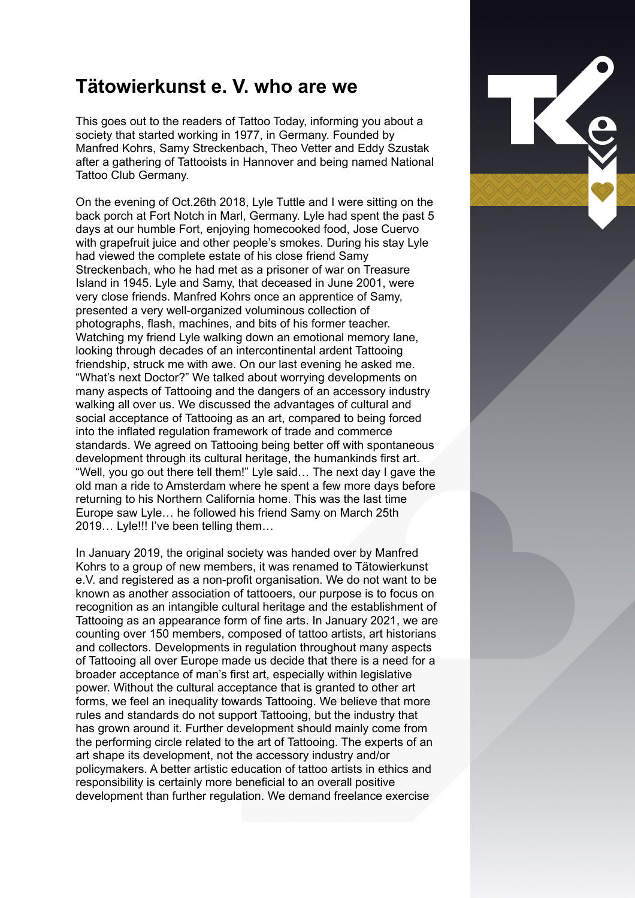## **Tätowierkunst e. V. who are we**

This goes out to the readers of Tattoo Today, informing you about a society that started working in 1977, in Germany. Founded by Manfred Kohrs, Samy Streckenbach, Theo Vetter and Eddy Szustak after a gathering of Tattooists in Hannover and being named National Tattoo Club Germany.

On the evening of Oct.26th 2018, Lyle Tuttle and I were sitting on the back porch at Fort Notch in Marl, Germany. Lyle had spent the past 5 days at our humble Fort, enjoying homecooked food, Jose Cuervo with grapefruit juice and other people's smokes. During his stay Lyle had viewed the complete estate of his close friend Samy Streckenbach, who he had met as a prisoner of war on Treasure Island in 1945. Lyle and Samy, that deceased in June 2001, were very close friends. Manfred Kohrs once an apprentice of Samy, presented a very well-organized voluminous collection of photographs, flash, machines, and bits of his former teacher. Watching my friend Lyle walking down an emotional memory lane, looking through decades of an intercontinental ardent Tattooing friendship, struck me with awe. On our last evening he asked me. "What's next Doctor?" We talked about worrying developments on many aspects of Tattooing and the dangers of an accessory industry walking all over us. We discussed the advantages of cultural and social acceptance of Tattooing as an art, compared to being forced into the inflated regulation framework of trade and commerce standards. We agreed on Tattooing being better off with spontaneous development through its cultural heritage, the humankinds first art. "Well, you go out there tell them!" Lyle said… The next day I gave the old man a ride to Amsterdam where he spent a few more days before returning to his Northern California home. This was the last time Europe saw Lyle… he followed his friend Samy on March 25th 2019… Lyle!!! I've been telling them…

In January 2019, the original society was handed over by Manfred Kohrs to a group of new members, it was renamed to Tätowierkunst e.V. and registered as a non-profit organisation. We do not want to be known as another association of tattooers, our purpose is to focus on recognition as an intangible cultural heritage and the establishment of Tattooing as an appearance form of fine arts. In January 2021, we are counting over 150 members, composed of tattoo artists, art historians and collectors. Developments in regulation throughout many aspects of Tattooing all over Europe made us decide that there is a need for a broader acceptance of man's first art, especially within legislative power. Without the cultural acceptance that is granted to other art forms, we feel an inequality towards Tattooing. We believe that more rules and standards do not support Tattooing, but the industry that has grown around it. Further development should mainly come from the performing circle related to the art of Tattooing. The experts of an art shape its development, not the accessory industry and/or policymakers. A better artistic education of tattoo artists in ethics and responsibility is certainly more beneficial to an overall positive development than further regulation. We demand freelance exercise